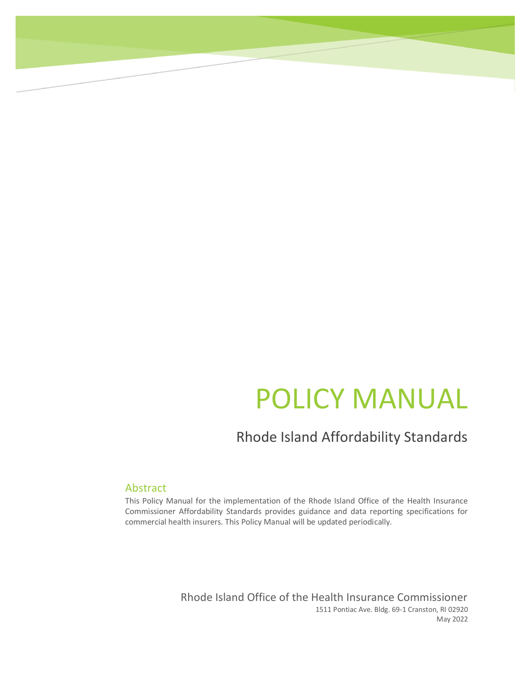# POLICY MANUAL

### Rhode Island Affordability Standards

#### Abstract

This Policy Manual for the implementation of the Rhode Island Office of the Health Insurance Commissioner Affordability Standards provides guidance and data reporting specifications for commercial health insurers. This Policy Manual will be updated periodically.

> Rhode Island Office of the Health Insurance Commissioner 1511 Pontiac Ave. Bldg. 69-1 Cranston, RI 02920 May 2022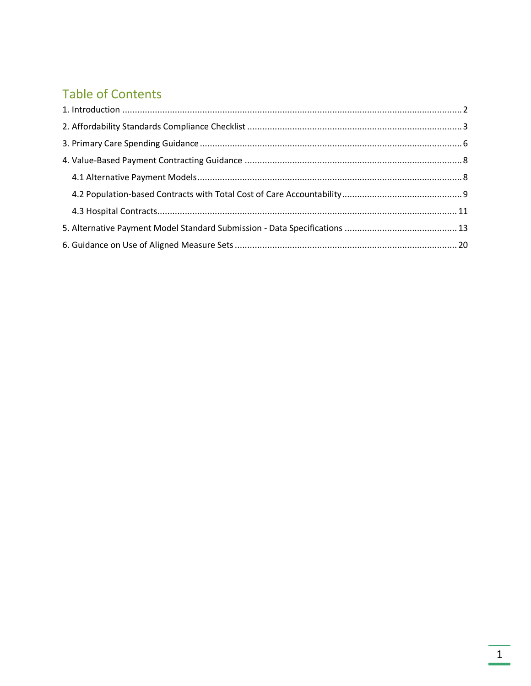### **Table of Contents**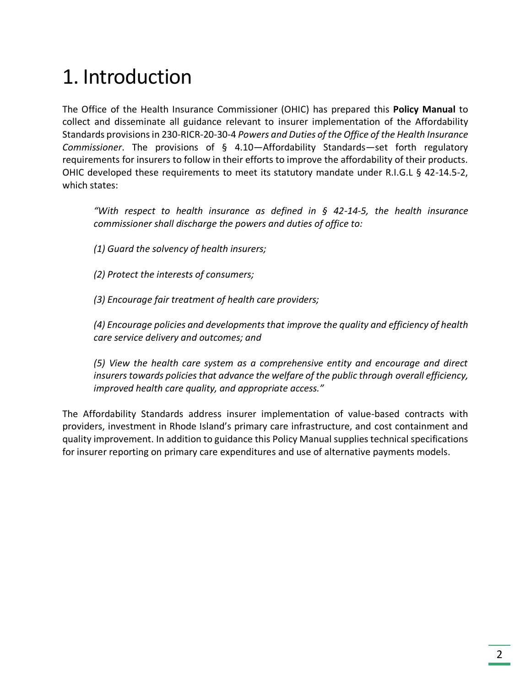## <span id="page-2-0"></span>1. Introduction

The Office of the Health Insurance Commissioner (OHIC) has prepared this **Policy Manual** to collect and disseminate all guidance relevant to insurer implementation of the Affordability Standards provisions in 230-RICR-20-30-4 *Powers and Duties of the Office of the Health Insurance Commissioner*. The provisions of § 4.10—Affordability Standards—set forth regulatory requirements for insurers to follow in their efforts to improve the affordability of their products. OHIC developed these requirements to meet its statutory mandate under R.I.G.L § 42-14.5-2, which states:

*"With respect to health insurance as defined in § 42-14-5, the health insurance commissioner shall discharge the powers and duties of office to:* 

*(1) Guard the solvency of health insurers;* 

*(2) Protect the interests of consumers;* 

*(3) Encourage fair treatment of health care providers;* 

*(4) Encourage policies and developments that improve the quality and efficiency of health care service delivery and outcomes; and* 

*(5) View the health care system as a comprehensive entity and encourage and direct insurers towards policies that advance the welfare of the public through overall efficiency, improved health care quality, and appropriate access."*

The Affordability Standards address insurer implementation of value-based contracts with providers, investment in Rhode Island's primary care infrastructure, and cost containment and quality improvement. In addition to guidance this Policy Manual supplies technical specifications for insurer reporting on primary care expenditures and use of alternative payments models.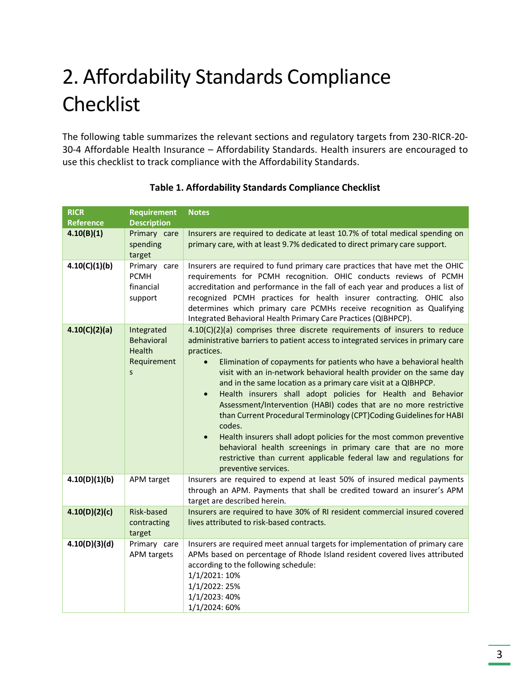## <span id="page-3-0"></span>2. Affordability Standards Compliance Checklist

The following table summarizes the relevant sections and regulatory targets from 230-RICR-20- 30-4 Affordable Health Insurance – Affordability Standards. Health insurers are encouraged to use this checklist to track compliance with the Affordability Standards.

| <b>RICR</b><br><b>Reference</b> | <b>Requirement</b><br><b>Description</b>                                 | <b>Notes</b>                                                                                                                                                                                                                                                                                                                                                                                                                                                                                                                                                                                                                                                                                                                                                                                                                                                                                    |
|---------------------------------|--------------------------------------------------------------------------|-------------------------------------------------------------------------------------------------------------------------------------------------------------------------------------------------------------------------------------------------------------------------------------------------------------------------------------------------------------------------------------------------------------------------------------------------------------------------------------------------------------------------------------------------------------------------------------------------------------------------------------------------------------------------------------------------------------------------------------------------------------------------------------------------------------------------------------------------------------------------------------------------|
| 4.10(B)(1)                      | Primary care<br>spending<br>target                                       | Insurers are required to dedicate at least 10.7% of total medical spending on<br>primary care, with at least 9.7% dedicated to direct primary care support.                                                                                                                                                                                                                                                                                                                                                                                                                                                                                                                                                                                                                                                                                                                                     |
| 4.10(C)(1)(b)                   | Primary care<br><b>PCMH</b><br>financial<br>support                      | Insurers are required to fund primary care practices that have met the OHIC<br>requirements for PCMH recognition. OHIC conducts reviews of PCMH<br>accreditation and performance in the fall of each year and produces a list of<br>recognized PCMH practices for health insurer contracting. OHIC also<br>determines which primary care PCMHs receive recognition as Qualifying<br>Integrated Behavioral Health Primary Care Practices (QIBHPCP).                                                                                                                                                                                                                                                                                                                                                                                                                                              |
| 4.10(C)(2)(a)                   | Integrated<br><b>Behavioral</b><br>Health<br>Requirement<br>$\mathsf{S}$ | 4.10(C)(2)(a) comprises three discrete requirements of insurers to reduce<br>administrative barriers to patient access to integrated services in primary care<br>practices.<br>Elimination of copayments for patients who have a behavioral health<br>$\bullet$<br>visit with an in-network behavioral health provider on the same day<br>and in the same location as a primary care visit at a QIBHPCP.<br>Health insurers shall adopt policies for Health and Behavior<br>$\bullet$<br>Assessment/Intervention (HABI) codes that are no more restrictive<br>than Current Procedural Terminology (CPT)Coding Guidelines for HABI<br>codes.<br>Health insurers shall adopt policies for the most common preventive<br>$\bullet$<br>behavioral health screenings in primary care that are no more<br>restrictive than current applicable federal law and regulations for<br>preventive services. |
| 4.10(D)(1)(b)                   | APM target                                                               | Insurers are required to expend at least 50% of insured medical payments<br>through an APM. Payments that shall be credited toward an insurer's APM<br>target are described herein.                                                                                                                                                                                                                                                                                                                                                                                                                                                                                                                                                                                                                                                                                                             |
| 4.10(D)(2)(c)                   | Risk-based<br>contracting<br>target                                      | Insurers are required to have 30% of RI resident commercial insured covered<br>lives attributed to risk-based contracts.                                                                                                                                                                                                                                                                                                                                                                                                                                                                                                                                                                                                                                                                                                                                                                        |
| 4.10(D)(3)(d)                   | Primary care<br>APM targets                                              | Insurers are required meet annual targets for implementation of primary care<br>APMs based on percentage of Rhode Island resident covered lives attributed<br>according to the following schedule:<br>1/1/2021: 10%<br>1/1/2022: 25%<br>1/1/2023: 40%<br>1/1/2024: 60%                                                                                                                                                                                                                                                                                                                                                                                                                                                                                                                                                                                                                          |

#### **Table 1. Affordability Standards Compliance Checklist**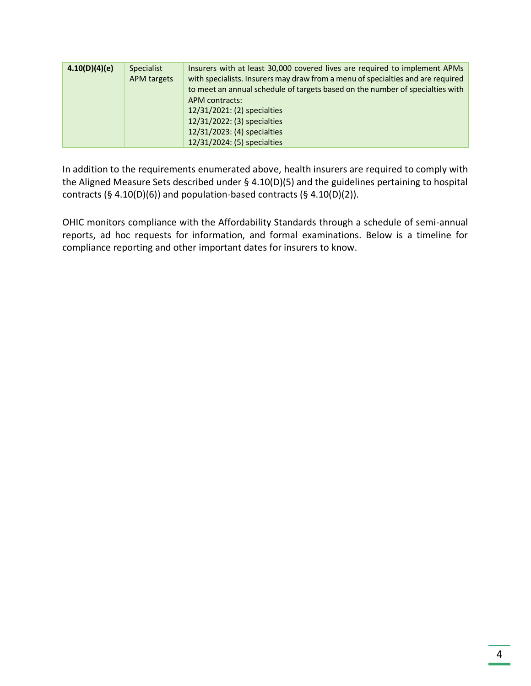| 4.10(D)(4)(e) | <b>Specialist</b> | Insurers with at least 30,000 covered lives are required to implement APMs                                                                                       |
|---------------|-------------------|------------------------------------------------------------------------------------------------------------------------------------------------------------------|
|               | APM targets       | with specialists. Insurers may draw from a menu of specialties and are required<br>to meet an annual schedule of targets based on the number of specialties with |
|               |                   |                                                                                                                                                                  |
|               |                   | APM contracts:                                                                                                                                                   |
|               |                   | 12/31/2021: (2) specialties                                                                                                                                      |
|               |                   | 12/31/2022: (3) specialties                                                                                                                                      |
|               |                   | 12/31/2023: (4) specialties                                                                                                                                      |
|               |                   | 12/31/2024: (5) specialties                                                                                                                                      |

In addition to the requirements enumerated above, health insurers are required to comply with the Aligned Measure Sets described under § 4.10(D)(5) and the guidelines pertaining to hospital contracts (§ 4.10(D)(6)) and population-based contracts (§ 4.10(D)(2)).

OHIC monitors compliance with the Affordability Standards through a schedule of semi-annual reports, ad hoc requests for information, and formal examinations. Below is a timeline for compliance reporting and other important dates for insurers to know.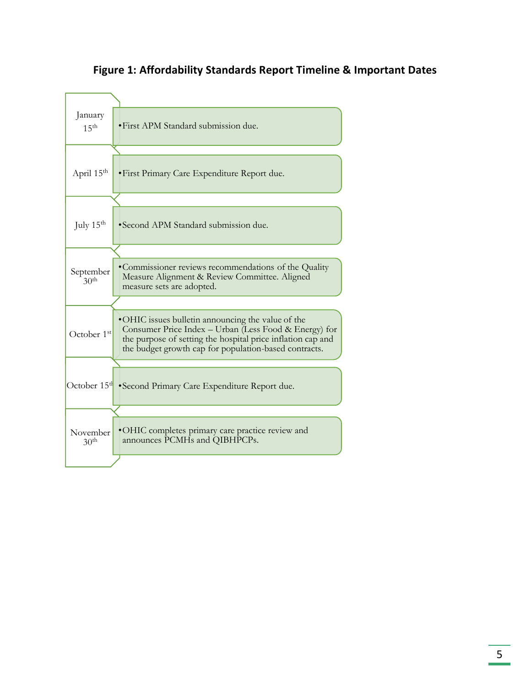### January 15<sup>th</sup> • First APM Standard submission due. April 15<sup>th</sup> • First Primary Care Expenditure Report due. July 15th •Second APM Standard submission due. September  $30<sup>th</sup>$ •Commissioner reviews recommendations of the Quality Measure Alignment & Review Committee. Aligned measure sets are adopted. October 1st •OHIC issues bulletin announcing the value of the Consumer Price Index – Urban (Less Food & Energy) for the purpose of setting the hospital price inflation cap and the budget growth cap for population-based contracts. October 15<sup>th</sup> •Second Primary Care Expenditure Report due. November  $30<sup>th</sup>$ •OHIC completes primary care practice review and announces PCMHs and QIBHPCPs.

#### **Figure 1: Affordability Standards Report Timeline & Important Dates**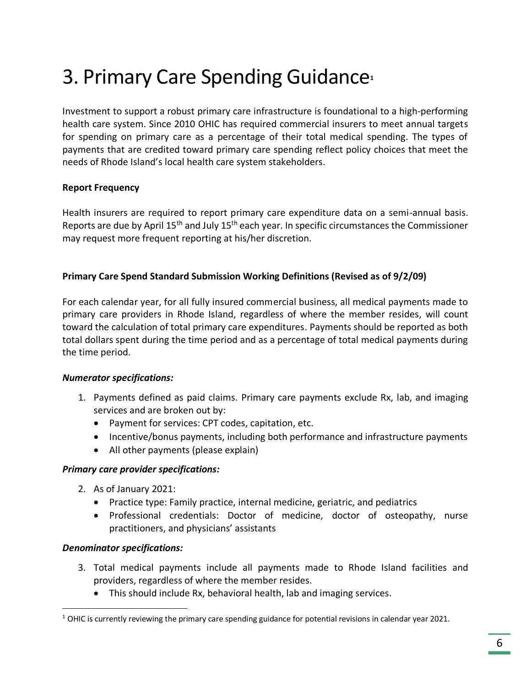## <span id="page-6-0"></span>3. Primary Care Spending Guidance**<sup>1</sup>**

Investment to support a robust primary care infrastructure is foundational to a high-performing health care system. Since 2010 OHIC has required commercial insurers to meet annual targets for spending on primary care as a percentage of their total medical spending. The types of payments that are credited toward primary care spending reflect policy choices that meet the needs of Rhode Island's local health care system stakeholders.

#### **Report Frequency**

Health insurers are required to report primary care expenditure data on a semi-annual basis. Reports are due by April  $15<sup>th</sup>$  and July  $15<sup>th</sup>$  each year. In specific circumstances the Commissioner may request more frequent reporting at his/her discretion.

#### **Primary Care Spend Standard Submission Working Definitions (Revised as of 9/2/09)**

For each calendar year, for all fully insured commercial business, all medical payments made to primary care providers in Rhode Island, regardless of where the member resides, will count toward the calculation of total primary care expenditures. Payments should be reported as both total dollars spent during the time period and as a percentage of total medical payments during the time period.

#### *Numerator specifications:*

- 1. Payments defined as paid claims. Primary care payments exclude Rx, lab, and imaging services and are broken out by:
	- Payment for services: CPT codes, capitation, etc.
	- Incentive/bonus payments, including both performance and infrastructure payments
	- All other payments (please explain)

#### *Primary care provider specifications:*

- 2. As of January 2021:
	- Practice type: Family practice, internal medicine, geriatric, and pediatrics
	- Professional credentials: Doctor of medicine, doctor of osteopathy, nurse practitioners, and physicians' assistants

#### *Denominator specifications:*

- 3. Total medical payments include all payments made to Rhode Island facilities and providers, regardless of where the member resides.
	- This should include Rx, behavioral health, lab and imaging services.

 $1$  OHIC is currently reviewing the primary care spending guidance for potential revisions in calendar year 2021.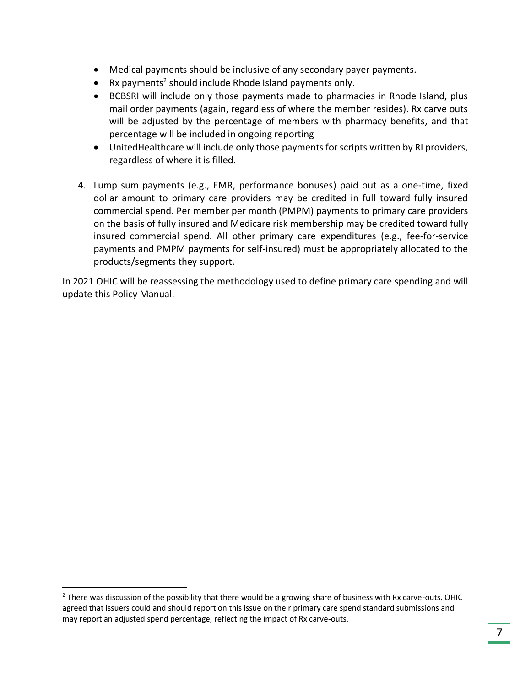- Medical payments should be inclusive of any secondary payer payments.
- Rx payments<sup>2</sup> should include Rhode Island payments only.
- BCBSRI will include only those payments made to pharmacies in Rhode Island, plus mail order payments (again, regardless of where the member resides). Rx carve outs will be adjusted by the percentage of members with pharmacy benefits, and that percentage will be included in ongoing reporting
- UnitedHealthcare will include only those payments for scripts written by RI providers, regardless of where it is filled.
- 4. Lump sum payments (e.g., EMR, performance bonuses) paid out as a one-time, fixed dollar amount to primary care providers may be credited in full toward fully insured commercial spend. Per member per month (PMPM) payments to primary care providers on the basis of fully insured and Medicare risk membership may be credited toward fully insured commercial spend. All other primary care expenditures (e.g., fee-for-service payments and PMPM payments for self-insured) must be appropriately allocated to the products/segments they support.

In 2021 OHIC will be reassessing the methodology used to define primary care spending and will update this Policy Manual.

 $<sup>2</sup>$  There was discussion of the possibility that there would be a growing share of business with Rx carve-outs. OHIC</sup> agreed that issuers could and should report on this issue on their primary care spend standard submissions and may report an adjusted spend percentage, reflecting the impact of Rx carve-outs.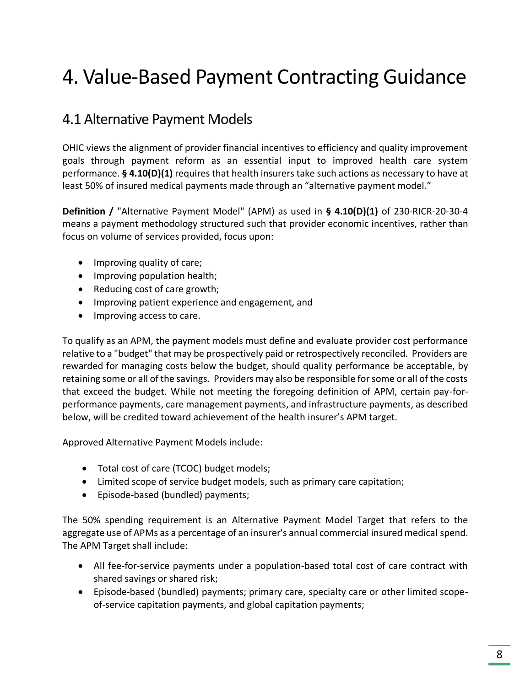## <span id="page-8-0"></span>4. Value-Based Payment Contracting Guidance

### <span id="page-8-1"></span>4.1 Alternative Payment Models

OHIC views the alignment of provider financial incentives to efficiency and quality improvement goals through payment reform as an essential input to improved health care system performance. **§ 4.10(D)(1)** requires that health insurers take such actions as necessary to have at least 50% of insured medical payments made through an "alternative payment model."

**Definition /** "Alternative Payment Model" (APM) as used in **§ 4.10(D)(1)** of 230-RICR-20-30-4 means a payment methodology structured such that provider economic incentives, rather than focus on volume of services provided, focus upon:

- Improving quality of care;
- Improving population health;
- Reducing cost of care growth;
- Improving patient experience and engagement, and
- Improving access to care.

To qualify as an APM, the payment models must define and evaluate provider cost performance relative to a "budget" that may be prospectively paid or retrospectively reconciled. Providers are rewarded for managing costs below the budget, should quality performance be acceptable, by retaining some or all of the savings. Providers may also be responsible for some or all of the costs that exceed the budget. While not meeting the foregoing definition of APM, certain pay-forperformance payments, care management payments, and infrastructure payments, as described below, will be credited toward achievement of the health insurer's APM target.

Approved Alternative Payment Models include:

- Total cost of care (TCOC) budget models;
- Limited scope of service budget models, such as primary care capitation;
- Episode-based (bundled) payments;

The 50% spending requirement is an Alternative Payment Model Target that refers to the aggregate use of APMs as a percentage of an insurer's annual commercial insured medical spend. The APM Target shall include:

- All fee-for-service payments under a population-based total cost of care contract with shared savings or shared risk;
- Episode-based (bundled) payments; primary care, specialty care or other limited scopeof-service capitation payments, and global capitation payments;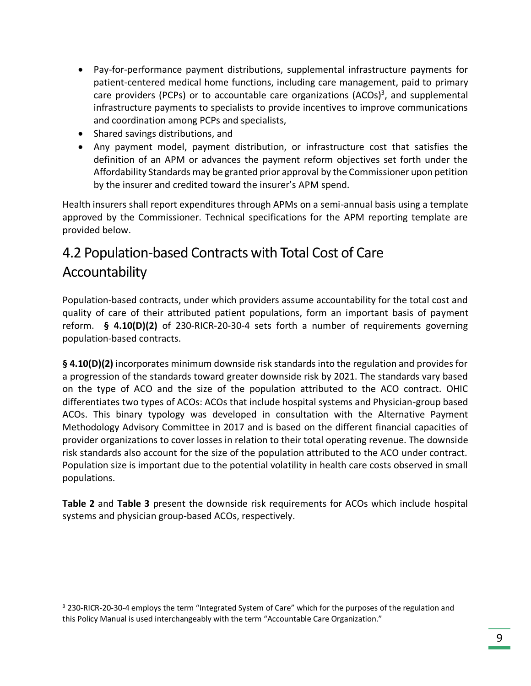- Pay-for-performance payment distributions, supplemental infrastructure payments for patient-centered medical home functions, including care management, paid to primary care providers (PCPs) or to accountable care organizations (ACOs)<sup>3</sup>, and supplemental infrastructure payments to specialists to provide incentives to improve communications and coordination among PCPs and specialists,
- Shared savings distributions, and
- Any payment model, payment distribution, or infrastructure cost that satisfies the definition of an APM or advances the payment reform objectives set forth under the Affordability Standards may be granted prior approval by the Commissioner upon petition by the insurer and credited toward the insurer's APM spend.

Health insurers shall report expenditures through APMs on a semi-annual basis using a template approved by the Commissioner. Technical specifications for the APM reporting template are provided below.

### <span id="page-9-0"></span>4.2 Population-based Contracts with Total Cost of Care Accountability

Population-based contracts, under which providers assume accountability for the total cost and quality of care of their attributed patient populations, form an important basis of payment reform. **§ 4.10(D)(2)** of 230-RICR-20-30-4 sets forth a number of requirements governing population-based contracts.

**§ 4.10(D)(2)** incorporates minimum downside risk standards into the regulation and provides for a progression of the standards toward greater downside risk by 2021. The standards vary based on the type of ACO and the size of the population attributed to the ACO contract. OHIC differentiates two types of ACOs: ACOs that include hospital systems and Physician-group based ACOs. This binary typology was developed in consultation with the Alternative Payment Methodology Advisory Committee in 2017 and is based on the different financial capacities of provider organizations to cover losses in relation to their total operating revenue. The downside risk standards also account for the size of the population attributed to the ACO under contract. Population size is important due to the potential volatility in health care costs observed in small populations.

**Table 2** and **Table 3** present the downside risk requirements for ACOs which include hospital systems and physician group-based ACOs, respectively.

<sup>3</sup> 230-RICR-20-30-4 employs the term "Integrated System of Care" which for the purposes of the regulation and this Policy Manual is used interchangeably with the term "Accountable Care Organization."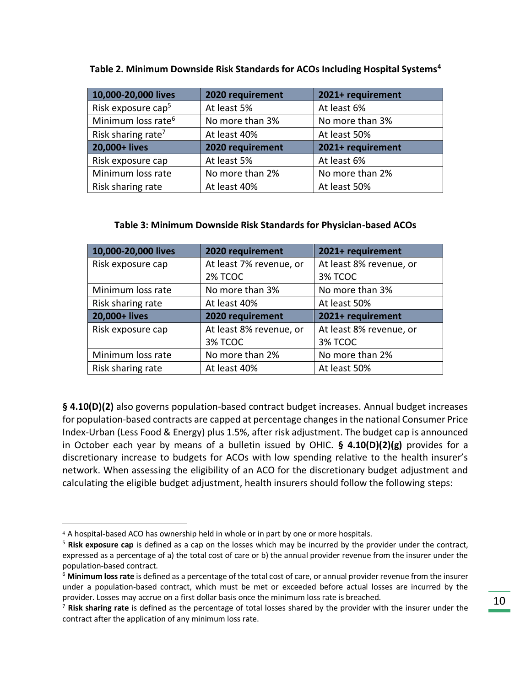| 10,000-20,000 lives            | 2020 requirement             | 2021+ requirement |
|--------------------------------|------------------------------|-------------------|
| Risk exposure cap <sup>5</sup> | At least 5%                  | At least 6%       |
| Minimum loss rate <sup>6</sup> | No more than 3%              | No more than 3%   |
| Risk sharing rate <sup>7</sup> | At least 50%<br>At least 40% |                   |
| 20,000+ lives                  | 2020 requirement             | 2021+ requirement |
| Risk exposure cap              | At least 5%                  | At least 6%       |
| Minimum loss rate              | No more than 2%              | No more than 2%   |
| Risk sharing rate              | At least 40%                 | At least 50%      |

#### **Table 2. Minimum Downside Risk Standards for ACOs Including Hospital Systems<sup>4</sup>**

#### **Table 3: Minimum Downside Risk Standards for Physician-based ACOs**

| 10,000-20,000 lives<br>2020 requirement |                         | 2021+ requirement       |  |
|-----------------------------------------|-------------------------|-------------------------|--|
| Risk exposure cap                       | At least 7% revenue, or | At least 8% revenue, or |  |
|                                         | 2% TCOC                 | 3% TCOC                 |  |
| Minimum loss rate                       | No more than 3%         | No more than 3%         |  |
| Risk sharing rate<br>At least 40%       |                         | At least 50%            |  |
| 20,000+ lives                           | 2020 requirement        | 2021+ requirement       |  |
| Risk exposure cap                       | At least 8% revenue, or | At least 8% revenue, or |  |
|                                         | 3% TCOC                 | 3% TCOC                 |  |
| Minimum loss rate                       | No more than 2%         | No more than 2%         |  |
| Risk sharing rate                       | At least 40%            | At least 50%            |  |

**§ 4.10(D)(2)** also governs population-based contract budget increases. Annual budget increases for population-based contracts are capped at percentage changes in the national Consumer Price Index-Urban (Less Food & Energy) plus 1.5%, after risk adjustment. The budget cap is announced in October each year by means of a bulletin issued by OHIC. **§ 4.10(D)(2)(g)** provides for a discretionary increase to budgets for ACOs with low spending relative to the health insurer's network. When assessing the eligibility of an ACO for the discretionary budget adjustment and calculating the eligible budget adjustment, health insurers should follow the following steps:

<sup>4</sup> A hospital-based ACO has ownership held in whole or in part by one or more hospitals.

<sup>5</sup> **Risk exposure cap** is defined as a cap on the losses which may be incurred by the provider under the contract, expressed as a percentage of a) the total cost of care or b) the annual provider revenue from the insurer under the population-based contract.

<sup>6</sup> **Minimum loss rate** is defined as a percentage of the total cost of care, or annual provider revenue from the insurer under a population-based contract, which must be met or exceeded before actual losses are incurred by the provider. Losses may accrue on a first dollar basis once the minimum loss rate is breached.

<sup>7</sup> **Risk sharing rate** is defined as the percentage of total losses shared by the provider with the insurer under the contract after the application of any minimum loss rate.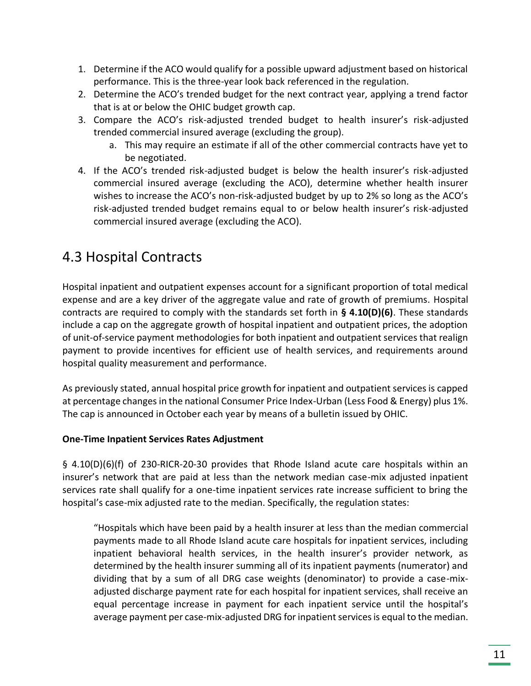- 1. Determine if the ACO would qualify for a possible upward adjustment based on historical performance. This is the three-year look back referenced in the regulation.
- 2. Determine the ACO's trended budget for the next contract year, applying a trend factor that is at or below the OHIC budget growth cap.
- 3. Compare the ACO's risk-adjusted trended budget to health insurer's risk-adjusted trended commercial insured average (excluding the group).
	- a. This may require an estimate if all of the other commercial contracts have yet to be negotiated.
- 4. If the ACO's trended risk-adjusted budget is below the health insurer's risk-adjusted commercial insured average (excluding the ACO), determine whether health insurer wishes to increase the ACO's non-risk-adjusted budget by up to 2% so long as the ACO's risk-adjusted trended budget remains equal to or below health insurer's risk-adjusted commercial insured average (excluding the ACO).

### <span id="page-11-0"></span>4.3 Hospital Contracts

Hospital inpatient and outpatient expenses account for a significant proportion of total medical expense and are a key driver of the aggregate value and rate of growth of premiums. Hospital contracts are required to comply with the standards set forth in **§ 4.10(D)(6)**. These standards include a cap on the aggregate growth of hospital inpatient and outpatient prices, the adoption of unit-of-service payment methodologies for both inpatient and outpatient services that realign payment to provide incentives for efficient use of health services, and requirements around hospital quality measurement and performance.

As previously stated, annual hospital price growth for inpatient and outpatient services is capped at percentage changes in the national Consumer Price Index-Urban (Less Food & Energy) plus 1%. The cap is announced in October each year by means of a bulletin issued by OHIC.

#### **One-Time Inpatient Services Rates Adjustment**

§ 4.10(D)(6)(f) of 230-RICR-20-30 provides that Rhode Island acute care hospitals within an insurer's network that are paid at less than the network median case-mix adjusted inpatient services rate shall qualify for a one-time inpatient services rate increase sufficient to bring the hospital's case-mix adjusted rate to the median. Specifically, the regulation states:

"Hospitals which have been paid by a health insurer at less than the median commercial payments made to all Rhode Island acute care hospitals for inpatient services, including inpatient behavioral health services, in the health insurer's provider network, as determined by the health insurer summing all of its inpatient payments (numerator) and dividing that by a sum of all DRG case weights (denominator) to provide a case-mixadjusted discharge payment rate for each hospital for inpatient services, shall receive an equal percentage increase in payment for each inpatient service until the hospital's average payment per case-mix-adjusted DRG for inpatient services is equal to the median.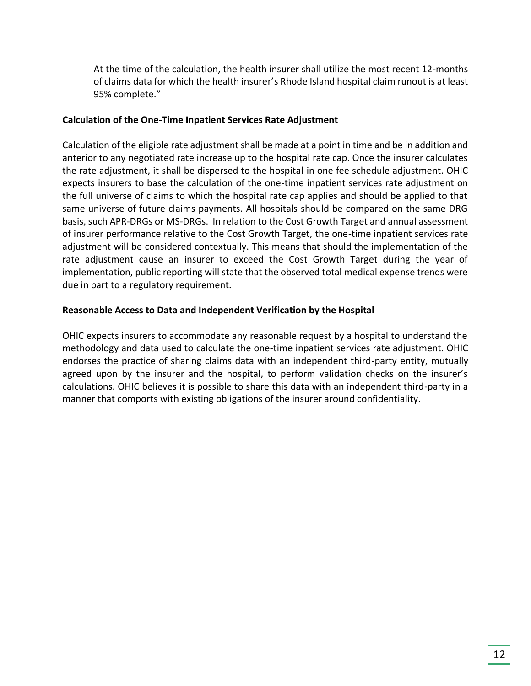At the time of the calculation, the health insurer shall utilize the most recent 12-months of claims data for which the health insurer's Rhode Island hospital claim runout is at least 95% complete."

#### **Calculation of the One-Time Inpatient Services Rate Adjustment**

Calculation of the eligible rate adjustment shall be made at a point in time and be in addition and anterior to any negotiated rate increase up to the hospital rate cap. Once the insurer calculates the rate adjustment, it shall be dispersed to the hospital in one fee schedule adjustment. OHIC expects insurers to base the calculation of the one-time inpatient services rate adjustment on the full universe of claims to which the hospital rate cap applies and should be applied to that same universe of future claims payments. All hospitals should be compared on the same DRG basis, such APR-DRGs or MS-DRGs. In relation to the Cost Growth Target and annual assessment of insurer performance relative to the Cost Growth Target, the one-time inpatient services rate adjustment will be considered contextually. This means that should the implementation of the rate adjustment cause an insurer to exceed the Cost Growth Target during the year of implementation, public reporting will state that the observed total medical expense trends were due in part to a regulatory requirement.

#### **Reasonable Access to Data and Independent Verification by the Hospital**

OHIC expects insurers to accommodate any reasonable request by a hospital to understand the methodology and data used to calculate the one-time inpatient services rate adjustment. OHIC endorses the practice of sharing claims data with an independent third-party entity, mutually agreed upon by the insurer and the hospital, to perform validation checks on the insurer's calculations. OHIC believes it is possible to share this data with an independent third-party in a manner that comports with existing obligations of the insurer around confidentiality.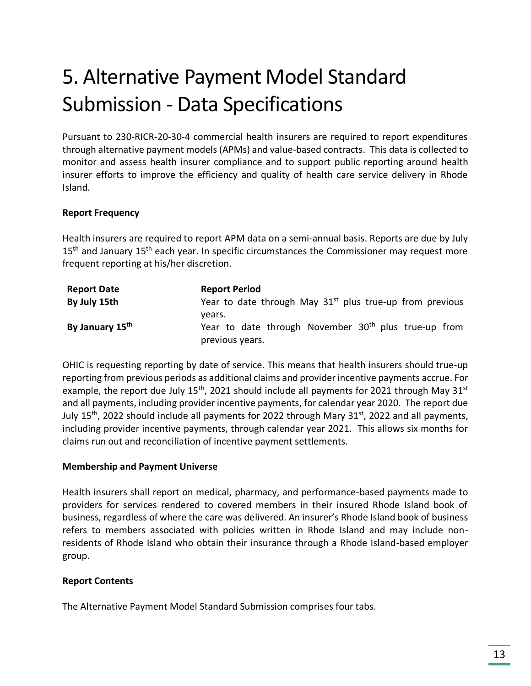## <span id="page-13-0"></span>5. Alternative Payment Model Standard Submission - Data Specifications

Pursuant to 230-RICR-20-30-4 commercial health insurers are required to report expenditures through alternative payment models (APMs) and value-based contracts. This data is collected to monitor and assess health insurer compliance and to support public reporting around health insurer efforts to improve the efficiency and quality of health care service delivery in Rhode Island.

#### **Report Frequency**

Health insurers are required to report APM data on a semi-annual basis. Reports are due by July  $15<sup>th</sup>$  and January  $15<sup>th</sup>$  each year. In specific circumstances the Commissioner may request more frequent reporting at his/her discretion.

| <b>Report Date</b> | <b>Report Period</b>                                                                          |
|--------------------|-----------------------------------------------------------------------------------------------|
| By July 15th       | Year to date through May $31st$ plus true-up from previous                                    |
| By January 15th    | vears.<br>Year to date through November 30 <sup>th</sup> plus true-up from<br>previous years. |

OHIC is requesting reporting by date of service. This means that health insurers should true-up reporting from previous periods as additional claims and provider incentive payments accrue. For example, the report due July 15<sup>th</sup>, 2021 should include all payments for 2021 through May 31<sup>st</sup> and all payments, including provider incentive payments, for calendar year 2020. The report due July 15<sup>th</sup>, 2022 should include all payments for 2022 through Mary 31<sup>st</sup>, 2022 and all payments, including provider incentive payments, through calendar year 2021. This allows six months for claims run out and reconciliation of incentive payment settlements.

#### **Membership and Payment Universe**

Health insurers shall report on medical, pharmacy, and performance-based payments made to providers for services rendered to covered members in their insured Rhode Island book of business, regardless of where the care was delivered. An insurer's Rhode Island book of business refers to members associated with policies written in Rhode Island and may include nonresidents of Rhode Island who obtain their insurance through a Rhode Island-based employer group.

#### **Report Contents**

The Alternative Payment Model Standard Submission comprises four tabs.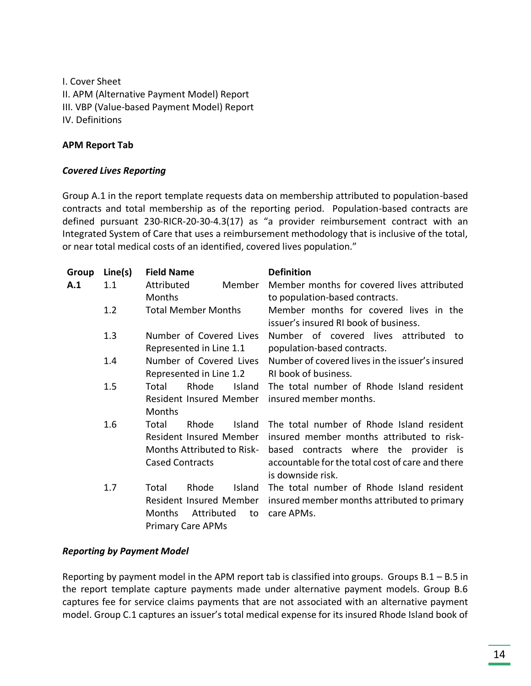I. Cover Sheet II. APM (Alternative Payment Model) Report III. VBP (Value-based Payment Model) Report IV. Definitions

#### **APM Report Tab**

#### *Covered Lives Reporting*

Group A.1 in the report template requests data on membership attributed to population-based contracts and total membership as of the reporting period. Population-based contracts are defined pursuant 230-RICR-20-30-4.3(17) as "a provider reimbursement contract with an Integrated System of Care that uses a reimbursement methodology that is inclusive of the total, or near total medical costs of an identified, covered lives population."

| Group | Line(s) | <b>Field Name</b>                 | <b>Definition</b>                                |
|-------|---------|-----------------------------------|--------------------------------------------------|
| A.1   | 1.1     | Attributed<br>Member              | Member months for covered lives attributed       |
|       |         | Months                            | to population-based contracts.                   |
|       | 1.2     | <b>Total Member Months</b>        | Member months for covered lives in the           |
|       |         |                                   | issuer's insured RI book of business.            |
|       | 1.3     | Number of Covered Lives           | Number of covered lives attributed<br>to         |
|       |         | Represented in Line 1.1           | population-based contracts.                      |
|       | 1.4     | Number of Covered Lives           | Number of covered lives in the issuer's insured  |
|       |         | Represented in Line 1.2           | RI book of business.                             |
|       | 1.5     | Rhode<br>Total<br>Island          | The total number of Rhode Island resident        |
|       |         | Resident Insured Member           | insured member months.                           |
|       |         | <b>Months</b>                     |                                                  |
|       | 1.6     | Rhode<br>Island<br>Total          | The total number of Rhode Island resident        |
|       |         | Resident Insured Member           | insured member months attributed to risk-        |
|       |         | <b>Months Attributed to Risk-</b> | based contracts where the provider is            |
|       |         | <b>Cased Contracts</b>            | accountable for the total cost of care and there |
|       |         |                                   | is downside risk.                                |
|       | 1.7     | Rhode<br><b>Island</b><br>Total   | The total number of Rhode Island resident        |
|       |         | Resident Insured Member           | insured member months attributed to primary      |
|       |         | Attributed<br>Months<br>to        | care APMs.                                       |
|       |         | <b>Primary Care APMs</b>          |                                                  |

#### *Reporting by Payment Model*

Reporting by payment model in the APM report tab is classified into groups. Groups  $B.1 - B.5$  in the report template capture payments made under alternative payment models. Group B.6 captures fee for service claims payments that are not associated with an alternative payment model. Group C.1 captures an issuer's total medical expense for its insured Rhode Island book of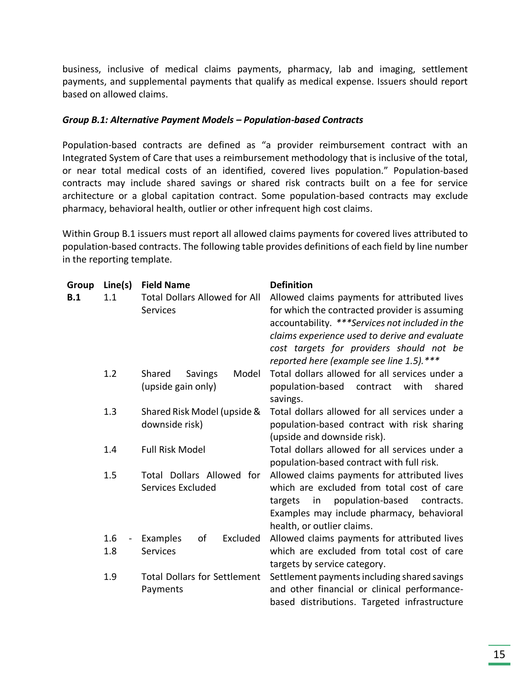business, inclusive of medical claims payments, pharmacy, lab and imaging, settlement payments, and supplemental payments that qualify as medical expense. Issuers should report based on allowed claims.

#### *Group B.1: Alternative Payment Models – Population-based Contracts*

Population-based contracts are defined as "a provider reimbursement contract with an Integrated System of Care that uses a reimbursement methodology that is inclusive of the total, or near total medical costs of an identified, covered lives population." Population-based contracts may include shared savings or shared risk contracts built on a fee for service architecture or a global capitation contract. Some population-based contracts may exclude pharmacy, behavioral health, outlier or other infrequent high cost claims.

Within Group B.1 issuers must report all allowed claims payments for covered lives attributed to population-based contracts. The following table provides definitions of each field by line number in the reporting template.

| Group | Line(s) | <b>Field Name</b>                    | <b>Definition</b>                               |  |  |
|-------|---------|--------------------------------------|-------------------------------------------------|--|--|
| B.1   | 1.1     | <b>Total Dollars Allowed for All</b> | Allowed claims payments for attributed lives    |  |  |
|       |         | <b>Services</b>                      | for which the contracted provider is assuming   |  |  |
|       |         |                                      | accountability. ***Services not included in the |  |  |
|       |         |                                      | claims experience used to derive and evaluate   |  |  |
|       |         |                                      | cost targets for providers should not be        |  |  |
|       |         |                                      | reported here (example see line 1.5).***        |  |  |
|       | 1.2     | Shared<br>Model<br>Savings           | Total dollars allowed for all services under a  |  |  |
|       |         | (upside gain only)                   | population-based<br>with<br>shared<br>contract  |  |  |
|       |         |                                      | savings.                                        |  |  |
|       | 1.3     | Shared Risk Model (upside &          | Total dollars allowed for all services under a  |  |  |
|       |         | downside risk)                       | population-based contract with risk sharing     |  |  |
|       |         |                                      | (upside and downside risk).                     |  |  |
|       | 1.4     | <b>Full Risk Model</b>               | Total dollars allowed for all services under a  |  |  |
|       |         |                                      | population-based contract with full risk.       |  |  |
|       | 1.5     | Total Dollars Allowed for            | Allowed claims payments for attributed lives    |  |  |
|       |         | Services Excluded                    | which are excluded from total cost of care      |  |  |
|       |         |                                      | population-based<br>targets<br>contracts.<br>in |  |  |
|       |         |                                      | Examples may include pharmacy, behavioral       |  |  |
|       |         |                                      | health, or outlier claims.                      |  |  |
|       | 1.6     | Examples<br>of<br>Excluded           | Allowed claims payments for attributed lives    |  |  |
|       | 1.8     | <b>Services</b>                      | which are excluded from total cost of care      |  |  |
|       |         |                                      | targets by service category.                    |  |  |
|       | 1.9     | <b>Total Dollars for Settlement</b>  | Settlement payments including shared savings    |  |  |
|       |         | Payments                             | and other financial or clinical performance-    |  |  |
|       |         |                                      | based distributions. Targeted infrastructure    |  |  |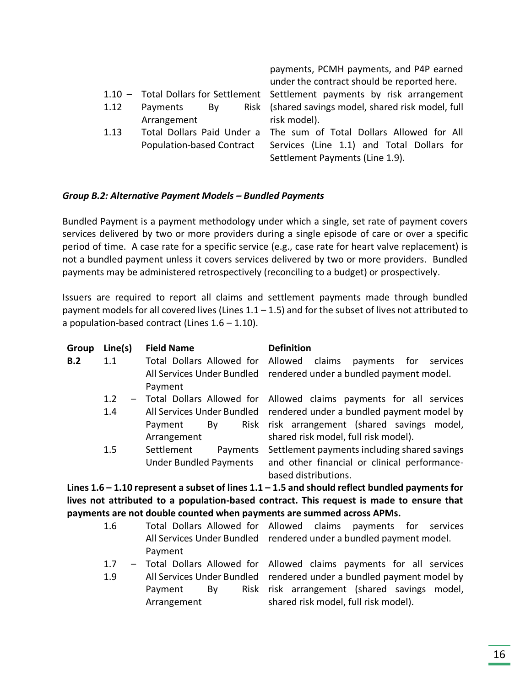|      |                | payments, PCMH payments, and P4P earned                                     |
|------|----------------|-----------------------------------------------------------------------------|
|      |                | under the contract should be reported here.                                 |
|      |                | 1.10 - Total Dollars for Settlement Settlement payments by risk arrangement |
| 1.12 | Payments<br>Bv | Risk (shared savings model, shared risk model, full                         |
|      | Arrangement    | risk model).                                                                |
| 1.13 |                | Total Dollars Paid Under a The sum of Total Dollars Allowed for All         |
|      |                | Population-based Contract Services (Line 1.1) and Total Dollars for         |

Settlement Payments (Line 1.9).

#### *Group B.2: Alternative Payment Models – Bundled Payments*

Bundled Payment is a payment methodology under which a single, set rate of payment covers services delivered by two or more providers during a single episode of care or over a specific period of time. A case rate for a specific service (e.g., case rate for heart valve replacement) is not a bundled payment unless it covers services delivered by two or more providers. Bundled payments may be administered retrospectively (reconciling to a budget) or prospectively.

Issuers are required to report all claims and settlement payments made through bundled payment models for all covered lives (Lines  $1.1 - 1.5$ ) and for the subset of lives not attributed to a population-based contract (Lines 1.6 – 1.10).

| Group | Line(s)       | <b>Field Name</b>             | <b>Definition</b>                                                                                  |
|-------|---------------|-------------------------------|----------------------------------------------------------------------------------------------------|
| B.2   | 1.1           |                               | Total Dollars Allowed for Allowed claims payments for<br>services                                  |
|       |               |                               | All Services Under Bundled rendered under a bundled payment model.                                 |
|       |               | Payment                       |                                                                                                    |
|       | $1.2^{\circ}$ |                               | - Total Dollars Allowed for Allowed claims payments for all services                               |
|       | 1.4           |                               | All Services Under Bundled rendered under a bundled payment model by                               |
|       |               | Payment<br>Bv                 | Risk risk arrangement (shared savings model,                                                       |
|       |               | Arrangement                   | shared risk model, full risk model).                                                               |
|       | 1.5           | Settlement<br>Payments        | Settlement payments including shared savings                                                       |
|       |               | <b>Under Bundled Payments</b> | and other financial or clinical performance-                                                       |
|       |               |                               | based distributions.                                                                               |
|       |               |                               | Lines $1.6 - 1.10$ represent a subset of lines $1.1 - 1.5$ and should reflect bundled payments for |

**Lines 1.6 – 1.10 represent a subset of lines 1.1 – 1.5 and should reflect bundled payments for lives not attributed to a population-based contract. This request is made to ensure that payments are not double counted when payments are summed across APMs.**

| 1.6 | Total Dollars Allowed for Allowed claims payments for services       |  |  |
|-----|----------------------------------------------------------------------|--|--|
|     | All Services Under Bundled rendered under a bundled payment model.   |  |  |
|     | Payment                                                              |  |  |
| 1.7 | - Total Dollars Allowed for Allowed claims payments for all services |  |  |
|     |                                                                      |  |  |

1.9 All Services Under Bundled rendered under a bundled payment model by Payment By Arrangement Risk risk arrangement (shared savings model, shared risk model, full risk model).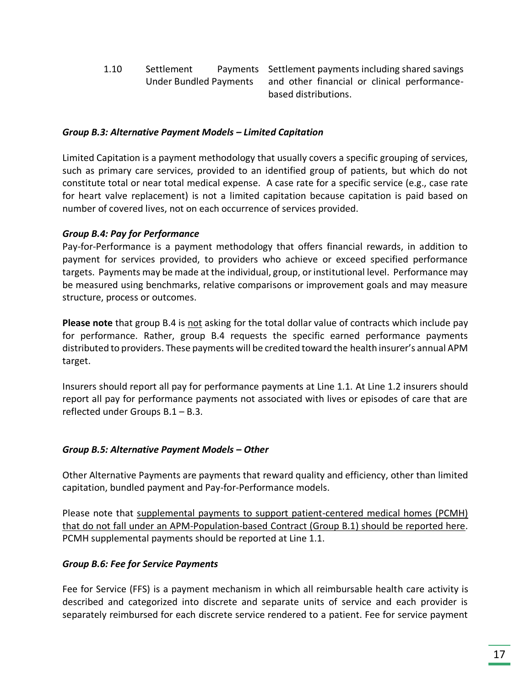1.10 Settlement Payments Under Bundled Payments Settlement payments including shared savings and other financial or clinical performancebased distributions.

#### *Group B.3: Alternative Payment Models – Limited Capitation*

Limited Capitation is a payment methodology that usually covers a specific grouping of services, such as primary care services, provided to an identified group of patients, but which do not constitute total or near total medical expense. A case rate for a specific service (e.g., case rate for heart valve replacement) is not a limited capitation because capitation is paid based on number of covered lives, not on each occurrence of services provided.

#### *Group B.4: Pay for Performance*

Pay-for-Performance is a payment methodology that offers financial rewards, in addition to payment for services provided, to providers who achieve or exceed specified performance targets. Payments may be made at the individual, group, or institutional level. Performance may be measured using benchmarks, relative comparisons or improvement goals and may measure structure, process or outcomes.

**Please note** that group B.4 is not asking for the total dollar value of contracts which include pay for performance. Rather, group B.4 requests the specific earned performance payments distributed to providers. These payments will be credited toward the health insurer's annual APM target.

Insurers should report all pay for performance payments at Line 1.1. At Line 1.2 insurers should report all pay for performance payments not associated with lives or episodes of care that are reflected under Groups B.1 – B.3.

#### *Group B.5: Alternative Payment Models – Other*

Other Alternative Payments are payments that reward quality and efficiency, other than limited capitation, bundled payment and Pay-for-Performance models.

Please note that supplemental payments to support patient-centered medical homes (PCMH) that do not fall under an APM-Population-based Contract (Group B.1) should be reported here. PCMH supplemental payments should be reported at Line 1.1.

#### *Group B.6: Fee for Service Payments*

Fee for Service (FFS) is a payment mechanism in which all reimbursable health care activity is described and categorized into discrete and separate units of service and each provider is separately reimbursed for each discrete service rendered to a patient. Fee for service payment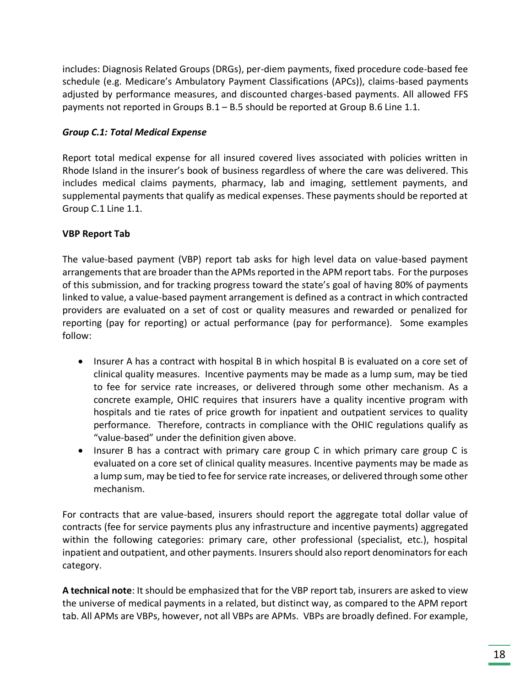includes: Diagnosis Related Groups (DRGs), per-diem payments, fixed procedure code-based fee schedule (e.g. Medicare's Ambulatory Payment Classifications (APCs)), claims-based payments adjusted by performance measures, and discounted charges-based payments. All allowed FFS payments not reported in Groups B.1 – B.5 should be reported at Group B.6 Line 1.1.

#### *Group C.1: Total Medical Expense*

Report total medical expense for all insured covered lives associated with policies written in Rhode Island in the insurer's book of business regardless of where the care was delivered. This includes medical claims payments, pharmacy, lab and imaging, settlement payments, and supplemental payments that qualify as medical expenses. These payments should be reported at Group C.1 Line 1.1.

#### **VBP Report Tab**

The value-based payment (VBP) report tab asks for high level data on value-based payment arrangements that are broader than the APMs reported in the APM report tabs. For the purposes of this submission, and for tracking progress toward the state's goal of having 80% of payments linked to value, a value-based payment arrangement is defined as a contract in which contracted providers are evaluated on a set of cost or quality measures and rewarded or penalized for reporting (pay for reporting) or actual performance (pay for performance). Some examples follow:

- Insurer A has a contract with hospital B in which hospital B is evaluated on a core set of clinical quality measures. Incentive payments may be made as a lump sum, may be tied to fee for service rate increases, or delivered through some other mechanism. As a concrete example, OHIC requires that insurers have a quality incentive program with hospitals and tie rates of price growth for inpatient and outpatient services to quality performance. Therefore, contracts in compliance with the OHIC regulations qualify as "value-based" under the definition given above.
- Insurer B has a contract with primary care group C in which primary care group C is evaluated on a core set of clinical quality measures. Incentive payments may be made as a lump sum, may be tied to fee for service rate increases, or delivered through some other mechanism.

For contracts that are value-based, insurers should report the aggregate total dollar value of contracts (fee for service payments plus any infrastructure and incentive payments) aggregated within the following categories: primary care, other professional (specialist, etc.), hospital inpatient and outpatient, and other payments. Insurers should also report denominators for each category.

**A technical note**: It should be emphasized that for the VBP report tab, insurers are asked to view the universe of medical payments in a related, but distinct way, as compared to the APM report tab. All APMs are VBPs, however, not all VBPs are APMs. VBPs are broadly defined. For example,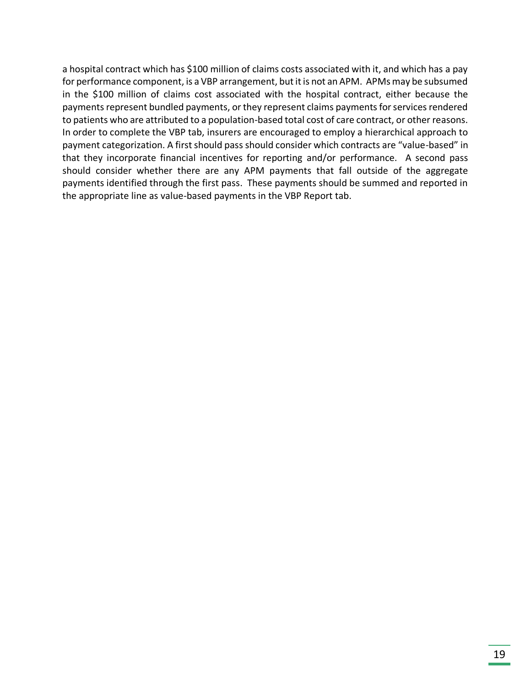a hospital contract which has \$100 million of claims costs associated with it, and which has a pay for performance component, is a VBP arrangement, but it is not an APM. APMs may be subsumed in the \$100 million of claims cost associated with the hospital contract, either because the payments represent bundled payments, or they represent claims payments for services rendered to patients who are attributed to a population-based total cost of care contract, or other reasons. In order to complete the VBP tab, insurers are encouraged to employ a hierarchical approach to payment categorization. A first should pass should consider which contracts are "value-based" in that they incorporate financial incentives for reporting and/or performance. A second pass should consider whether there are any APM payments that fall outside of the aggregate payments identified through the first pass. These payments should be summed and reported in the appropriate line as value-based payments in the VBP Report tab.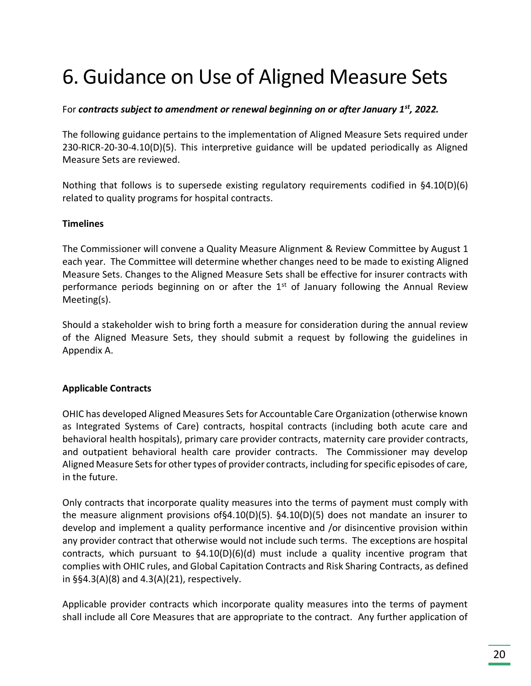## <span id="page-20-0"></span>6. Guidance on Use of Aligned Measure Sets

#### For *contracts subject to amendment or renewal beginning on or after January 1st, 2022.*

The following guidance pertains to the implementation of Aligned Measure Sets required under 230-RICR-20-30-4.10(D)(5). This interpretive guidance will be updated periodically as Aligned Measure Sets are reviewed.

Nothing that follows is to supersede existing regulatory requirements codified in §4.10(D)(6) related to quality programs for hospital contracts.

#### **Timelines**

The Commissioner will convene a Quality Measure Alignment & Review Committee by August 1 each year. The Committee will determine whether changes need to be made to existing Aligned Measure Sets. Changes to the Aligned Measure Sets shall be effective for insurer contracts with performance periods beginning on or after the  $1<sup>st</sup>$  of January following the Annual Review Meeting(s).

Should a stakeholder wish to bring forth a measure for consideration during the annual review of the Aligned Measure Sets, they should submit a request by following the guidelines in Appendix A.

#### **Applicable Contracts**

OHIC has developed Aligned Measures Sets for Accountable Care Organization (otherwise known as Integrated Systems of Care) contracts, hospital contracts (including both acute care and behavioral health hospitals), primary care provider contracts, maternity care provider contracts, and outpatient behavioral health care provider contracts. The Commissioner may develop Aligned Measure Sets for other types of provider contracts, including for specific episodes of care, in the future.

Only contracts that incorporate quality measures into the terms of payment must comply with the measure alignment provisions of§4.10(D)(5). §4.10(D)(5) does not mandate an insurer to develop and implement a quality performance incentive and /or disincentive provision within any provider contract that otherwise would not include such terms. The exceptions are hospital contracts, which pursuant to  $$4.10(D)(6)(d)$  must include a quality incentive program that complies with OHIC rules, and Global Capitation Contracts and Risk Sharing Contracts, as defined in §§4.3(A)(8) and 4.3(A)(21), respectively.

Applicable provider contracts which incorporate quality measures into the terms of payment shall include all Core Measures that are appropriate to the contract. Any further application of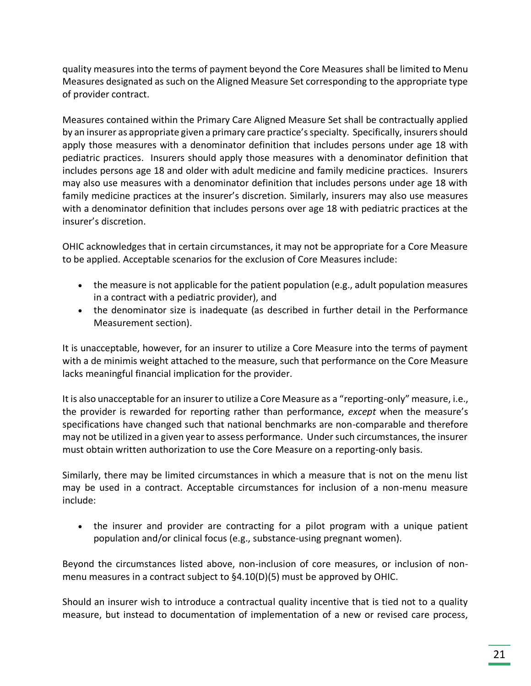quality measures into the terms of payment beyond the Core Measures shall be limited to Menu Measures designated as such on the Aligned Measure Set corresponding to the appropriate type of provider contract.

Measures contained within the Primary Care Aligned Measure Set shall be contractually applied by an insurer as appropriate given a primary care practice's specialty. Specifically, insurers should apply those measures with a denominator definition that includes persons under age 18 with pediatric practices. Insurers should apply those measures with a denominator definition that includes persons age 18 and older with adult medicine and family medicine practices. Insurers may also use measures with a denominator definition that includes persons under age 18 with family medicine practices at the insurer's discretion. Similarly, insurers may also use measures with a denominator definition that includes persons over age 18 with pediatric practices at the insurer's discretion.

OHIC acknowledges that in certain circumstances, it may not be appropriate for a Core Measure to be applied. Acceptable scenarios for the exclusion of Core Measures include:

- the measure is not applicable for the patient population (e.g., adult population measures in a contract with a pediatric provider), and
- the denominator size is inadequate (as described in further detail in the Performance Measurement section).

It is unacceptable, however, for an insurer to utilize a Core Measure into the terms of payment with a de minimis weight attached to the measure, such that performance on the Core Measure lacks meaningful financial implication for the provider.

It is also unacceptable for an insurer to utilize a Core Measure as a "reporting-only" measure, i.e., the provider is rewarded for reporting rather than performance, *except* when the measure's specifications have changed such that national benchmarks are non-comparable and therefore may not be utilized in a given year to assess performance. Under such circumstances, the insurer must obtain written authorization to use the Core Measure on a reporting-only basis.

Similarly, there may be limited circumstances in which a measure that is not on the menu list may be used in a contract. Acceptable circumstances for inclusion of a non-menu measure include:

• the insurer and provider are contracting for a pilot program with a unique patient population and/or clinical focus (e.g., substance-using pregnant women).

Beyond the circumstances listed above, non-inclusion of core measures, or inclusion of nonmenu measures in a contract subject to §4.10(D)(5) must be approved by OHIC.

Should an insurer wish to introduce a contractual quality incentive that is tied not to a quality measure, but instead to documentation of implementation of a new or revised care process,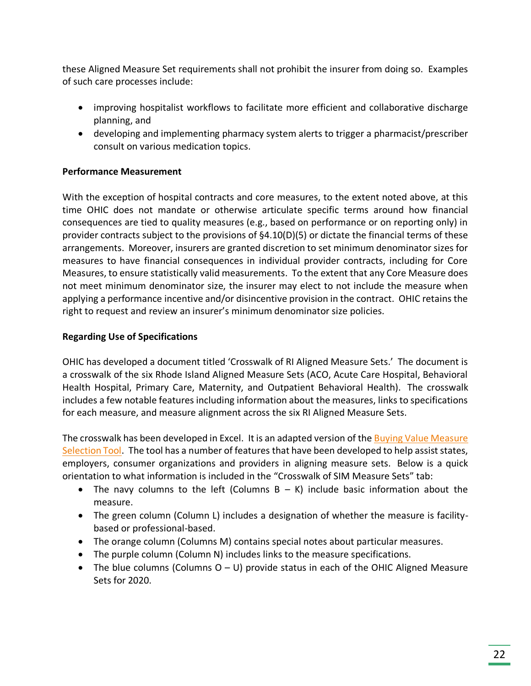these Aligned Measure Set requirements shall not prohibit the insurer from doing so. Examples of such care processes include:

- improving hospitalist workflows to facilitate more efficient and collaborative discharge planning, and
- developing and implementing pharmacy system alerts to trigger a pharmacist/prescriber consult on various medication topics.

#### **Performance Measurement**

With the exception of hospital contracts and core measures, to the extent noted above, at this time OHIC does not mandate or otherwise articulate specific terms around how financial consequences are tied to quality measures (e.g., based on performance or on reporting only) in provider contracts subject to the provisions of §4.10(D)(5) or dictate the financial terms of these arrangements. Moreover, insurers are granted discretion to set minimum denominator sizes for measures to have financial consequences in individual provider contracts, including for Core Measures, to ensure statistically valid measurements. To the extent that any Core Measure does not meet minimum denominator size, the insurer may elect to not include the measure when applying a performance incentive and/or disincentive provision in the contract. OHIC retains the right to request and review an insurer's minimum denominator size policies.

#### **Regarding Use of Specifications**

OHIC has developed a document titled 'Crosswalk of RI Aligned Measure Sets.' The document is a crosswalk of the six Rhode Island Aligned Measure Sets (ACO, Acute Care Hospital, Behavioral Health Hospital, Primary Care, Maternity, and Outpatient Behavioral Health). The crosswalk includes a few notable features including information about the measures, links to specifications for each measure, and measure alignment across the six RI Aligned Measure Sets.

The crosswalk has been developed in Excel. It is an adapted version of the Buying Value Measure [Selection Tool.](http://www.buyingvalue.org/) The tool has a number of features that have been developed to help assist states, employers, consumer organizations and providers in aligning measure sets. Below is a quick orientation to what information is included in the "Crosswalk of SIM Measure Sets" tab:

- The navy columns to the left (Columns B K) include basic information about the measure.
- The green column (Column L) includes a designation of whether the measure is facilitybased or professional-based.
- The orange column (Columns M) contains special notes about particular measures.
- The purple column (Column N) includes links to the measure specifications.
- The blue columns (Columns  $O U$ ) provide status in each of the OHIC Aligned Measure Sets for 2020.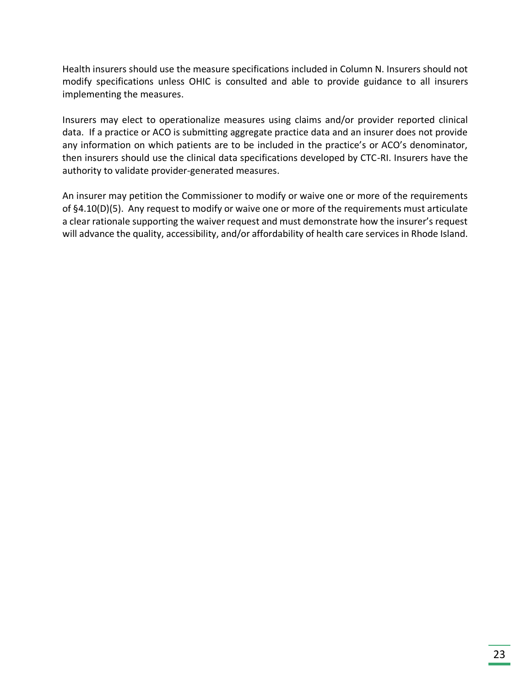Health insurers should use the measure specifications included in Column N. Insurers should not modify specifications unless OHIC is consulted and able to provide guidance to all insurers implementing the measures.

Insurers may elect to operationalize measures using claims and/or provider reported clinical data. If a practice or ACO is submitting aggregate practice data and an insurer does not provide any information on which patients are to be included in the practice's or ACO's denominator, then insurers should use the clinical data specifications developed by CTC-RI. Insurers have the authority to validate provider-generated measures.

An insurer may petition the Commissioner to modify or waive one or more of the requirements of §4.10(D)(5). Any request to modify or waive one or more of the requirements must articulate a clear rationale supporting the waiver request and must demonstrate how the insurer's request will advance the quality, accessibility, and/or affordability of health care services in Rhode Island.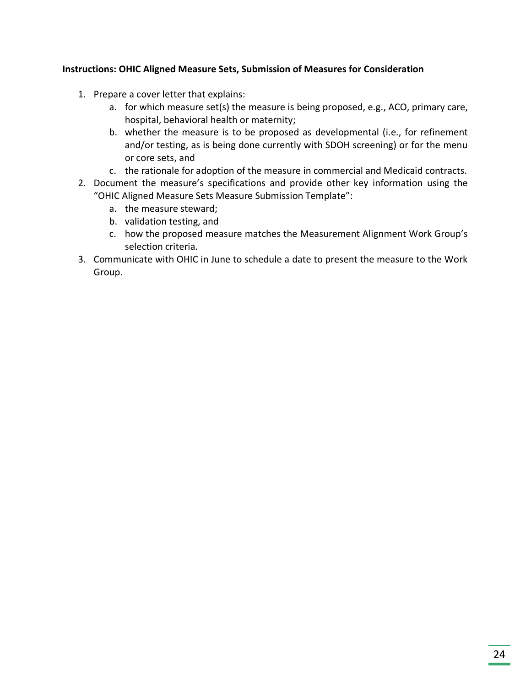#### **Instructions: OHIC Aligned Measure Sets, Submission of Measures for Consideration**

- 1. Prepare a cover letter that explains:
	- a. for which measure set(s) the measure is being proposed, e.g., ACO, primary care, hospital, behavioral health or maternity;
	- b. whether the measure is to be proposed as developmental (i.e., for refinement and/or testing, as is being done currently with SDOH screening) or for the menu or core sets, and
	- c. the rationale for adoption of the measure in commercial and Medicaid contracts.
- 2. Document the measure's specifications and provide other key information using the "OHIC Aligned Measure Sets Measure Submission Template":
	- a. the measure steward;
	- b. validation testing, and
	- c. how the proposed measure matches the Measurement Alignment Work Group's selection criteria.
- 3. Communicate with OHIC in June to schedule a date to present the measure to the Work Group.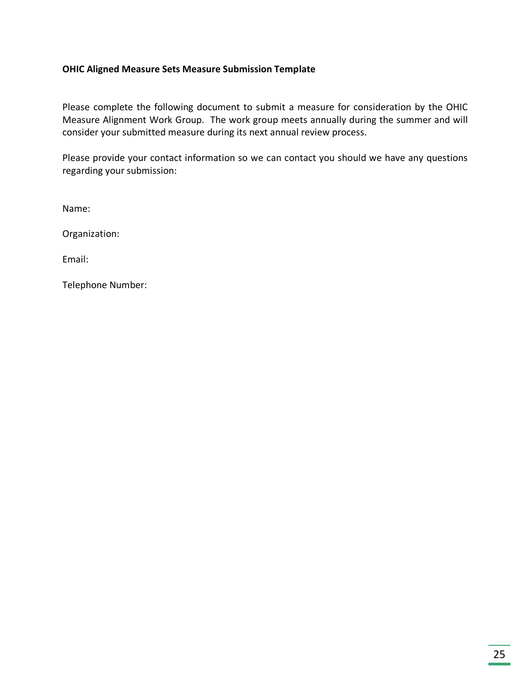#### **OHIC Aligned Measure Sets Measure Submission Template**

Please complete the following document to submit a measure for consideration by the OHIC Measure Alignment Work Group. The work group meets annually during the summer and will consider your submitted measure during its next annual review process.

Please provide your contact information so we can contact you should we have any questions regarding your submission:

Name:

Organization:

Email:

Telephone Number: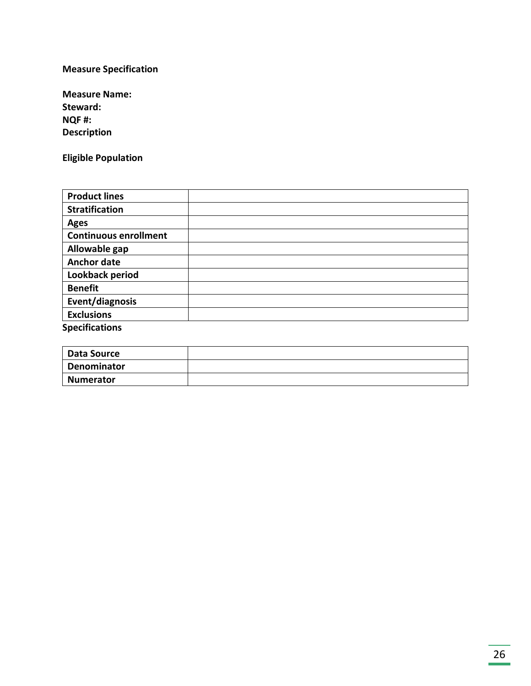#### **Measure Specification**

| <b>Measure Name:</b> |
|----------------------|
| Steward:             |
| NQF#:                |
| <b>Description</b>   |

**Eligible Population**

| <b>Product lines</b>         |  |
|------------------------------|--|
| <b>Stratification</b>        |  |
| <b>Ages</b>                  |  |
| <b>Continuous enrollment</b> |  |
| Allowable gap                |  |
| <b>Anchor date</b>           |  |
| Lookback period              |  |
| <b>Benefit</b>               |  |
| Event/diagnosis              |  |
| <b>Exclusions</b>            |  |
| <b>Specifications</b>        |  |

| Data Source |  |
|-------------|--|
| Denominator |  |
| Numerator   |  |